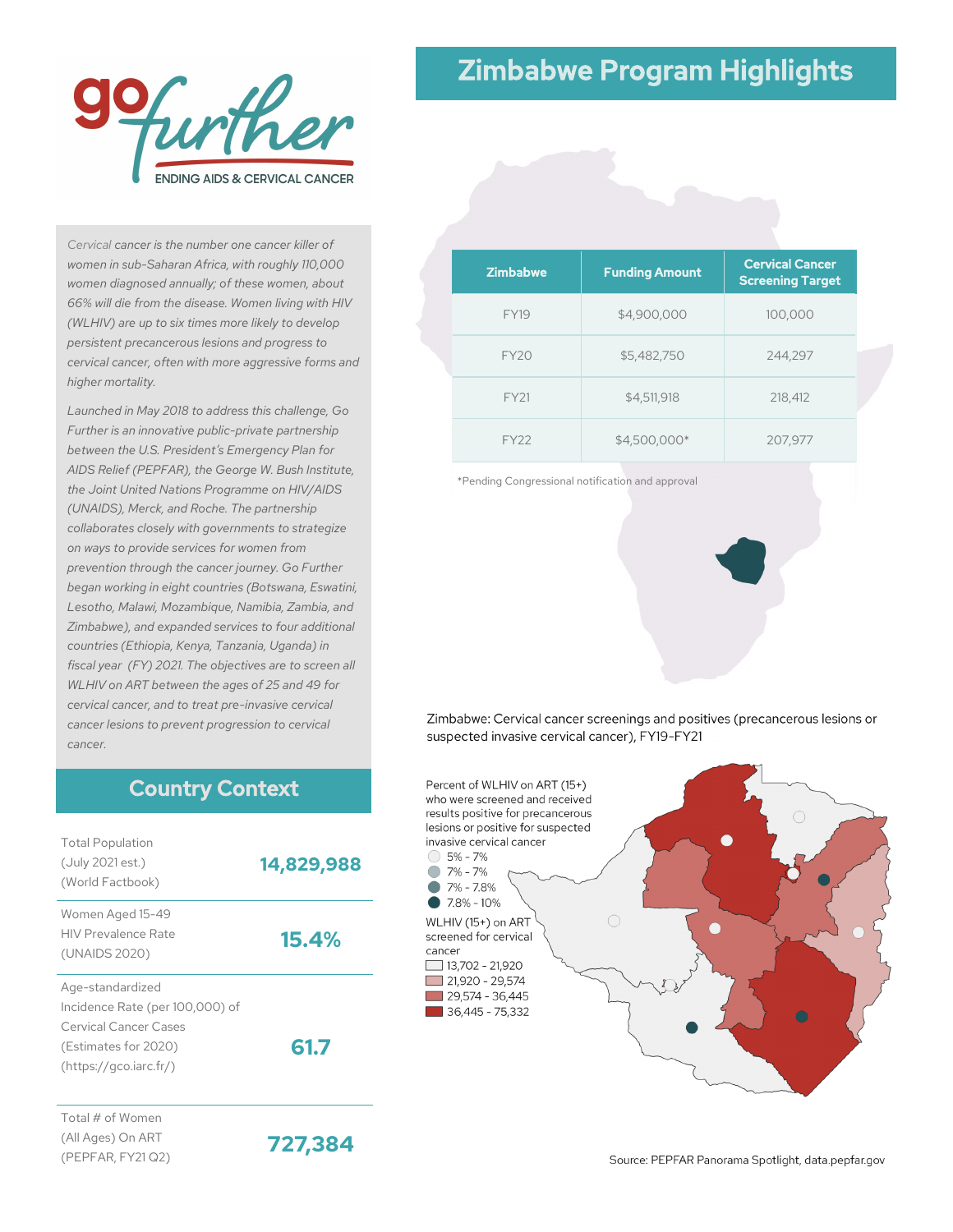

# Zimbabwe Program Highlights

*Cervical cancer is the number one cancer killer of women in sub-Saharan Africa, with roughly 110,000 women diagnosed annually; of these women, about 66% will die from the disease. Women living with HIV (WLHIV) are up to six times more likely to develop persistent precancerous lesions and progress to cervical cancer, often with more aggressive forms and higher mortality.*

*Launched in May 2018 to address this challenge, Go Further is an innovative public-private partnership between the U.S. President's Emergency Plan for AIDS Relief (PEPFAR), the George W. Bush Institute, the Joint United Nations Programme on HIV/AIDS (UNAIDS), Merck, and Roche. The partnership collaborates closely with governments to strategize on ways to provide services for women from prevention through the cancer journey. Go Further began working in eight countries (Botswana, Eswatini, Lesotho, Malawi, Mozambique, Namibia, Zambia, and Zimbabwe), and expanded services to four additional countries (Ethiopia, Kenya, Tanzania, Uganda) in fiscal year (FY) 2021. The objectives are to screen all WLHIV on ART between the ages of 25 and 49 for cervical cancer, and to treat pre-invasive cervical cancer lesions to prevent progression to cervical cancer.*

#### Country Context

| <b>Total Population</b><br>(July 2021 est.)<br>(World Factbook)                                                                | 14,829,988 |
|--------------------------------------------------------------------------------------------------------------------------------|------------|
| Women Aged 15-49<br><b>HIV Prevalence Rate</b><br>(UNAIDS 2020)                                                                | 15.4%      |
| Age-standardized<br>Incidence Rate (per 100,000) of<br>Cervical Cancer Cases<br>(Estimates for 2020)<br>(htips://qco.iarc.fr/) | 61.7       |
| Total # of Women                                                                                                               |            |

(All Ages) On ART (PEPFAR, FY21 Q2)

**727,384**

| <b>Zimbabwe</b>  | <b>Funding Amount</b> | <b>Cervical Cancer</b><br><b>Screening Target</b> |
|------------------|-----------------------|---------------------------------------------------|
| <b>FY19</b>      | \$4,900,000           | 100,000                                           |
| <b>FY20</b>      | \$5,482,750           | 244,297                                           |
| <b>FY21</b>      | \$4,511,918           | 218,412                                           |
| FY <sub>22</sub> | \$4,500,000*          | 207,977                                           |

\*Pending Congressional notification and approval

Zimbabwe: Cervical cancer screenings and positives (precancerous lesions or suspected invasive cervical cancer), FY19-FY21